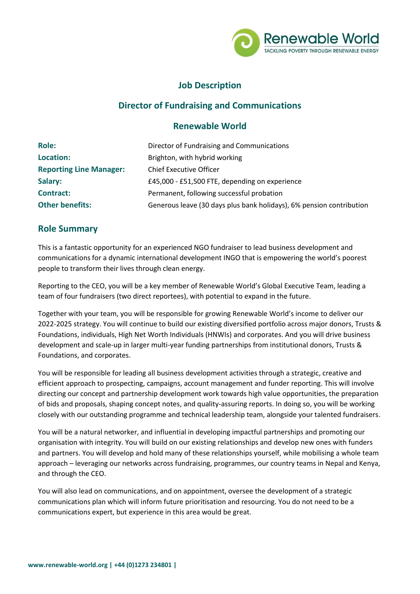

# **Job Description**

# **Director of Fundraising and Communications**

## **Renewable World**

| <b>Role:</b>                   | Director of Fundraising and Communications                           |
|--------------------------------|----------------------------------------------------------------------|
| <b>Location:</b>               | Brighton, with hybrid working                                        |
| <b>Reporting Line Manager:</b> | <b>Chief Executive Officer</b>                                       |
| Salary:                        | £45,000 - £51,500 FTE, depending on experience                       |
| <b>Contract:</b>               | Permanent, following successful probation                            |
| <b>Other benefits:</b>         | Generous leave (30 days plus bank holidays), 6% pension contribution |

## **Role Summary**

This is a fantastic opportunity for an experienced NGO fundraiser to lead business development and communications for a dynamic international development INGO that is empowering the world's poorest people to transform their lives through clean energy.

Reporting to the CEO, you will be a key member of Renewable World's Global Executive Team, leading a team of four fundraisers (two direct reportees), with potential to expand in the future.

Together with your team, you will be responsible for growing Renewable World's income to deliver our 2022-2025 strategy. You will continue to build our existing diversified portfolio across major donors, Trusts & Foundations, individuals, High Net Worth Individuals (HNWIs) and corporates. And you will drive business development and scale-up in larger multi-year funding partnerships from institutional donors, Trusts & Foundations, and corporates.

You will be responsible for leading all business development activities through a strategic, creative and efficient approach to prospecting, campaigns, account management and funder reporting. This will involve directing our concept and partnership development work towards high value opportunities, the preparation of bids and proposals, shaping concept notes, and quality-assuring reports. In doing so, you will be working closely with our outstanding programme and technical leadership team, alongside your talented fundraisers.

You will be a natural networker, and influential in developing impactful partnerships and promoting our organisation with integrity. You will build on our existing relationships and develop new ones with funders and partners. You will develop and hold many of these relationships yourself, while mobilising a whole team approach – leveraging our networks across fundraising, programmes, our country teams in Nepal and Kenya, and through the CEO.

You will also lead on communications, and on appointment, oversee the development of a strategic communications plan which will inform future prioritisation and resourcing. You do not need to be a communications expert, but experience in this area would be great.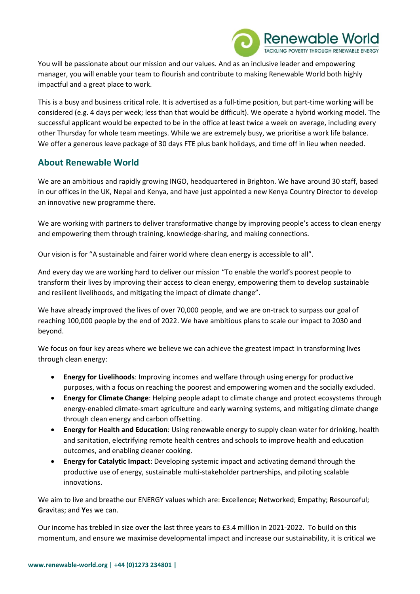

You will be passionate about our mission and our values. And as an inclusive leader and empowering manager, you will enable your team to flourish and contribute to making Renewable World both highly impactful and a great place to work.

This is a busy and business critical role. It is advertised as a full-time position, but part-time working will be considered (e.g. 4 days per week; less than that would be difficult). We operate a hybrid working model. The successful applicant would be expected to be in the office at least twice a week on average, including every other Thursday for whole team meetings. While we are extremely busy, we prioritise a work life balance. We offer a generous leave package of 30 days FTE plus bank holidays, and time off in lieu when needed.

### **About Renewable World**

We are an ambitious and rapidly growing INGO, headquartered in Brighton. We have around 30 staff, based in our offices in the UK, Nepal and Kenya, and have just appointed a new Kenya Country Director to develop an innovative new programme there.

We are working with partners to deliver transformative change by improving people's access to clean energy and empowering them through training, knowledge-sharing, and making connections.

Our vision is for "A sustainable and fairer world where clean energy is accessible to all".

And every day we are working hard to deliver our mission "To enable the world's poorest people to transform their lives by improving their access to clean energy, empowering them to develop sustainable and resilient livelihoods, and mitigating the impact of climate change".

We have already improved the lives of over 70,000 people, and we are on-track to surpass our goal of reaching 100,000 people by the end of 2022. We have ambitious plans to scale our impact to 2030 and beyond.

We focus on four key areas where we believe we can achieve the greatest impact in transforming lives through clean energy:

- **Energy for Livelihoods**: Improving incomes and welfare through using energy for productive purposes, with a focus on reaching the poorest and empowering women and the socially excluded.
- **Energy for Climate Change**: Helping people adapt to climate change and protect ecosystems through energy-enabled climate-smart agriculture and early warning systems, and mitigating climate change through clean energy and carbon offsetting.
- **Energy for Health and Education**: Using renewable energy to supply clean water for drinking, health and sanitation, electrifying remote health centres and schools to improve health and education outcomes, and enabling cleaner cooking.
- **Energy for Catalytic Impact**: Developing systemic impact and activating demand through the productive use of energy, sustainable multi-stakeholder partnerships, and piloting scalable innovations.

We aim to live and breathe our ENERGY values which are: **E**xcellence; **N**etworked; **E**mpathy; **R**esourceful; **G**ravitas; and **Y**es we can.

Our income has trebled in size over the last three years to £3.4 million in 2021-2022. To build on this momentum, and ensure we maximise developmental impact and increase our sustainability, it is critical we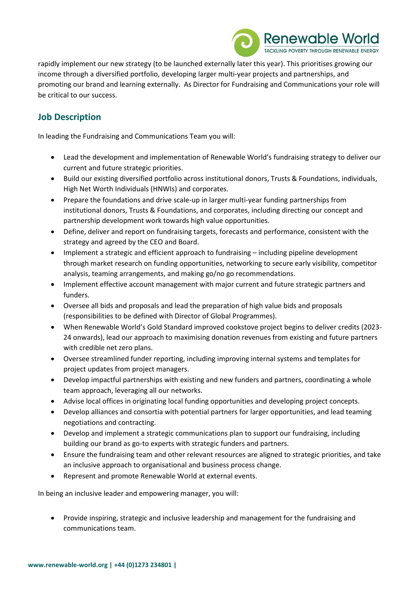

rapidly implement our new strategy (to be launched externally later this year). This prioritises growing our income through a diversified portfolio, developing larger multi-year projects and partnerships, and promoting our brand and learning externally. As Director for Fundraising and Communications your role will be critical to our success.

# **Job Description**

In leading the Fundraising and Communications Team you will:

- Lead the development and implementation of Renewable World's fundraising strategy to deliver our current and future strategic priorities.
- Build our existing diversified portfolio across institutional donors, Trusts & Foundations, individuals, High Net Worth Individuals (HNWIs) and corporates.
- Prepare the foundations and drive scale-up in larger multi-year funding partnerships from institutional donors, Trusts & Foundations, and corporates, including directing our concept and partnership development work towards high value opportunities.
- Define, deliver and report on fundraising targets, forecasts and performance, consistent with the strategy and agreed by the CEO and Board.
- Implement a strategic and efficient approach to fundraising including pipeline development through market research on funding opportunities, networking to secure early visibility, competitor analysis, teaming arrangements, and making go/no go recommendations.
- Implement effective account management with major current and future strategic partners and funders.
- Oversee all bids and proposals and lead the preparation of high value bids and proposals (responsibilities to be defined with Director of Global Programmes).
- When Renewable World's Gold Standard improved cookstove project begins to deliver credits (2023- 24 onwards), lead our approach to maximising donation revenues from existing and future partners with credible net zero plans.
- Oversee streamlined funder reporting, including improving internal systems and templates for project updates from project managers.
- Develop impactful partnerships with existing and new funders and partners, coordinating a whole team approach, leveraging all our networks.
- Advise local offices in originating local funding opportunities and developing project concepts.
- Develop alliances and consortia with potential partners for larger opportunities, and lead teaming negotiations and contracting.
- Develop and implement a strategic communications plan to support our fundraising, including building our brand as go-to experts with strategic funders and partners.
- Ensure the fundraising team and other relevant resources are aligned to strategic priorities, and take an inclusive approach to organisational and business process change.
- Represent and promote Renewable World at external events.

In being an inclusive leader and empowering manager, you will:

• Provide inspiring, strategic and inclusive leadership and management for the fundraising and communications team.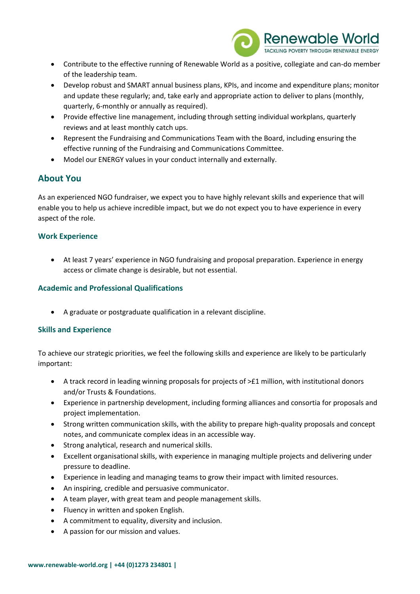

- Contribute to the effective running of Renewable World as a positive, collegiate and can-do member of the leadership team.
- Develop robust and SMART annual business plans, KPIs, and income and expenditure plans; monitor and update these regularly; and, take early and appropriate action to deliver to plans (monthly, quarterly, 6-monthly or annually as required).
- Provide effective line management, including through setting individual workplans, quarterly reviews and at least monthly catch ups.
- Represent the Fundraising and Communications Team with the Board, including ensuring the effective running of the Fundraising and Communications Committee.
- Model our ENERGY values in your conduct internally and externally.

### **About You**

As an experienced NGO fundraiser, we expect you to have highly relevant skills and experience that will enable you to help us achieve incredible impact, but we do not expect you to have experience in every aspect of the role.

#### **Work Experience**

• At least 7 years' experience in NGO fundraising and proposal preparation. Experience in energy access or climate change is desirable, but not essential.

### **Academic and Professional Qualifications**

• A graduate or postgraduate qualification in a relevant discipline.

### **Skills and Experience**

To achieve our strategic priorities, we feel the following skills and experience are likely to be particularly important:

- A track record in leading winning proposals for projects of >£1 million, with institutional donors and/or Trusts & Foundations.
- Experience in partnership development, including forming alliances and consortia for proposals and project implementation.
- Strong written communication skills, with the ability to prepare high-quality proposals and concept notes, and communicate complex ideas in an accessible way.
- Strong analytical, research and numerical skills.
- Excellent organisational skills, with experience in managing multiple projects and delivering under pressure to deadline.
- Experience in leading and managing teams to grow their impact with limited resources.
- An inspiring, credible and persuasive communicator.
- A team player, with great team and people management skills.
- Fluency in written and spoken English.
- A commitment to equality, diversity and inclusion.
- A passion for our mission and values.